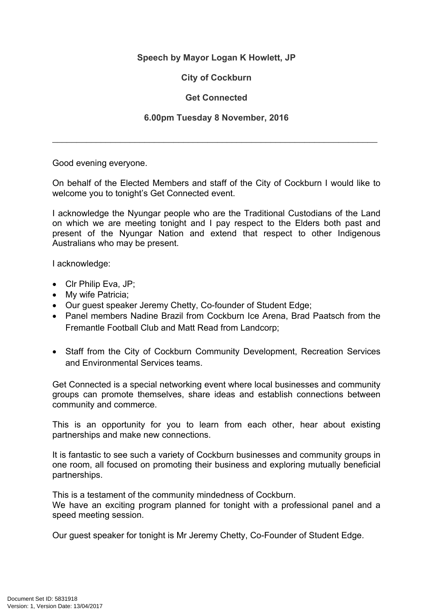## **Speech by Mayor Logan K Howlett, JP**

## **City of Cockburn**

## **Get Connected**

## **6.00pm Tuesday 8 November, 2016**

\_\_\_\_\_\_\_\_\_\_\_\_\_\_\_\_\_\_\_\_\_\_\_\_\_\_\_\_\_\_\_\_\_\_\_\_\_\_\_\_\_\_\_\_\_\_\_\_\_\_\_\_\_\_\_\_\_\_\_\_\_\_\_\_\_\_\_

Good evening everyone.

On behalf of the Elected Members and staff of the City of Cockburn I would like to welcome you to tonight's Get Connected event.

I acknowledge the Nyungar people who are the Traditional Custodians of the Land on which we are meeting tonight and I pay respect to the Elders both past and present of the Nyungar Nation and extend that respect to other Indigenous Australians who may be present.

I acknowledge:

- Clr Philip Eva, JP;
- My wife Patricia;
- Our guest speaker Jeremy Chetty, Co-founder of Student Edge;
- Panel members Nadine Brazil from Cockburn Ice Arena, Brad Paatsch from the Fremantle Football Club and Matt Read from Landcorp;
- Staff from the City of Cockburn Community Development, Recreation Services and Environmental Services teams.

Get Connected is a special networking event where local businesses and community groups can promote themselves, share ideas and establish connections between community and commerce.

This is an opportunity for you to learn from each other, hear about existing partnerships and make new connections.

It is fantastic to see such a variety of Cockburn businesses and community groups in one room, all focused on promoting their business and exploring mutually beneficial partnerships.

This is a testament of the community mindedness of Cockburn.

We have an exciting program planned for tonight with a professional panel and a speed meeting session.

Our guest speaker for tonight is Mr Jeremy Chetty, Co-Founder of Student Edge.